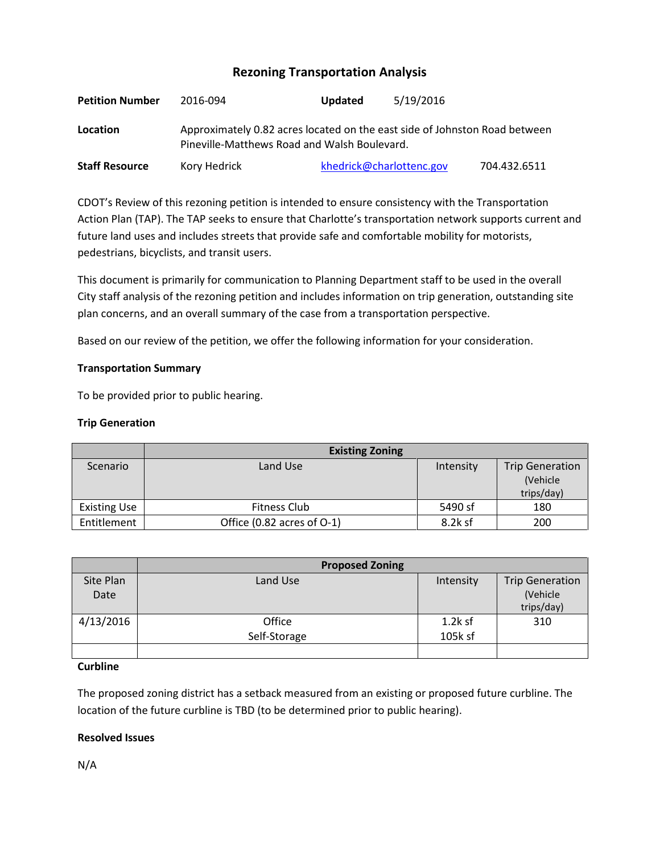# **Rezoning Transportation Analysis**

| <b>Petition Number</b> | 2016-094                                                                                                                   | <b>Updated</b> | 5/19/2016                |              |  |  |
|------------------------|----------------------------------------------------------------------------------------------------------------------------|----------------|--------------------------|--------------|--|--|
| Location               | Approximately 0.82 acres located on the east side of Johnston Road between<br>Pineville-Matthews Road and Walsh Boulevard. |                |                          |              |  |  |
| <b>Staff Resource</b>  | Kory Hedrick                                                                                                               |                | khedrick@charlottenc.gov | 704.432.6511 |  |  |

CDOT's Review of this rezoning petition is intended to ensure consistency with the Transportation Action Plan (TAP). The TAP seeks to ensure that Charlotte's transportation network supports current and future land uses and includes streets that provide safe and comfortable mobility for motorists, pedestrians, bicyclists, and transit users.

This document is primarily for communication to Planning Department staff to be used in the overall City staff analysis of the rezoning petition and includes information on trip generation, outstanding site plan concerns, and an overall summary of the case from a transportation perspective.

Based on our review of the petition, we offer the following information for your consideration.

# **Transportation Summary**

To be provided prior to public hearing.

# **Trip Generation**

|                     | <b>Existing Zoning</b>     |           |                        |  |
|---------------------|----------------------------|-----------|------------------------|--|
| Scenario            | Land Use                   | Intensity | <b>Trip Generation</b> |  |
|                     |                            |           | (Vehicle               |  |
|                     |                            |           | trips/day)             |  |
| <b>Existing Use</b> | Fitness Club               | 5490 sf   | 180                    |  |
| Entitlement         | Office (0.82 acres of O-1) | 8.2k sf   | 200                    |  |

|           | <b>Proposed Zoning</b> |           |                        |  |
|-----------|------------------------|-----------|------------------------|--|
| Site Plan | Land Use               | Intensity | <b>Trip Generation</b> |  |
| Date      |                        |           | (Vehicle               |  |
|           |                        |           | trips/day)             |  |
| 4/13/2016 | Office                 | $1.2k$ sf | 310                    |  |
|           | Self-Storage           | 105k sf   |                        |  |
|           |                        |           |                        |  |

# **Curbline**

The proposed zoning district has a setback measured from an existing or proposed future curbline. The location of the future curbline is TBD (to be determined prior to public hearing).

# **Resolved Issues**

N/A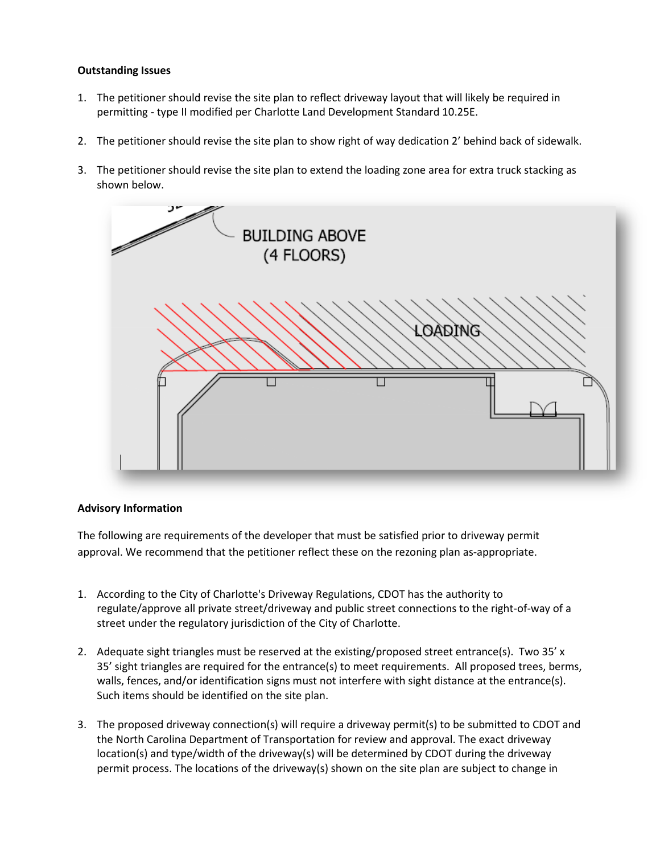# **Outstanding Issues**

- 1. The petitioner should revise the site plan to reflect driveway layout that will likely be required in permitting - type II modified per Charlotte Land Development Standard 10.25E.
- 2. The petitioner should revise the site plan to show right of way dedication 2' behind back of sidewalk.
- 3. The petitioner should revise the site plan to extend the loading zone area for extra truck stacking as shown below.



#### **Advisory Information**

The following are requirements of the developer that must be satisfied prior to driveway permit approval. We recommend that the petitioner reflect these on the rezoning plan as-appropriate.

- 1. According to the City of Charlotte's Driveway Regulations, CDOT has the authority to regulate/approve all private street/driveway and public street connections to the right-of-way of a street under the regulatory jurisdiction of the City of Charlotte.
- 2. Adequate sight triangles must be reserved at the existing/proposed street entrance(s). Two 35' x 35' sight triangles are required for the entrance(s) to meet requirements. All proposed trees, berms, walls, fences, and/or identification signs must not interfere with sight distance at the entrance(s). Such items should be identified on the site plan.
- 3. The proposed driveway connection(s) will require a driveway permit(s) to be submitted to CDOT and the North Carolina Department of Transportation for review and approval. The exact driveway location(s) and type/width of the driveway(s) will be determined by CDOT during the driveway permit process. The locations of the driveway(s) shown on the site plan are subject to change in